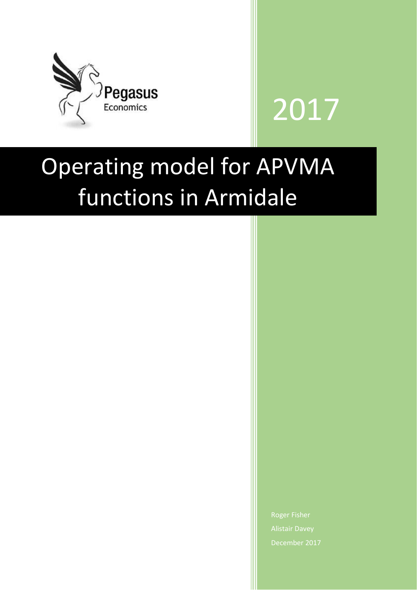



# Operating model for APVMA functions in Armidale

Roger Fisher December 2017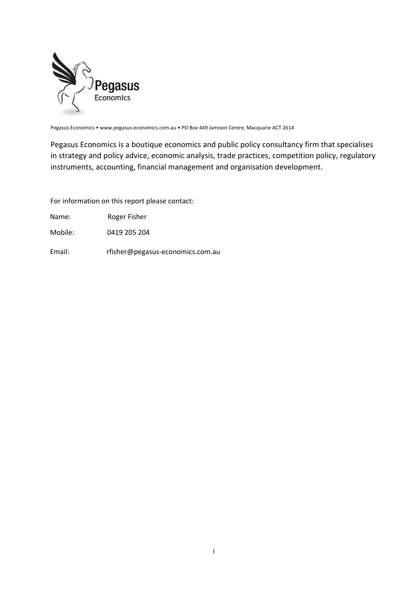

Pegasus Economics • www.pegasus-economics.com.au • PO Box 449 Jamison Centre, Macquarie ACT 2614

Pegasus Economics is a boutique economics and public policy consultancy firm that specialises in strategy and policy advice, economic analysis, trade practices, competition policy, regulatory instruments, accounting, financial management and organisation development.

For information on this report please contact:

Name: Roger Fisher

Mobile: 0419 205 204

Email: rfisher@pegasus-economics.com.au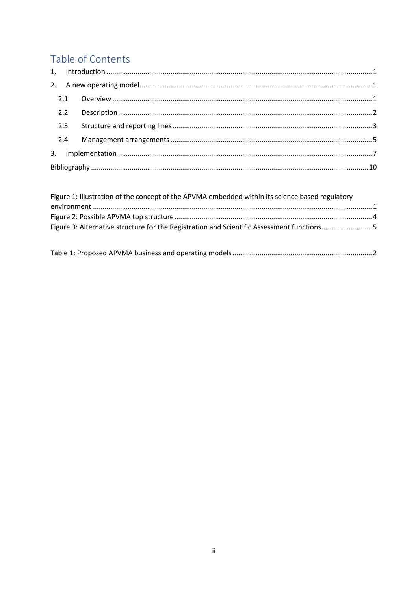# Table of Contents

|  | 2.2 |  |  |  |  |
|--|-----|--|--|--|--|
|  | 2.3 |  |  |  |  |
|  | 2.4 |  |  |  |  |
|  |     |  |  |  |  |
|  |     |  |  |  |  |

| Figure 1: Illustration of the concept of the APVMA embedded within its science based regulatory |  |
|-------------------------------------------------------------------------------------------------|--|
|                                                                                                 |  |
|                                                                                                 |  |
| Figure 3: Alternative structure for the Registration and Scientific Assessment functions5       |  |
|                                                                                                 |  |

|--|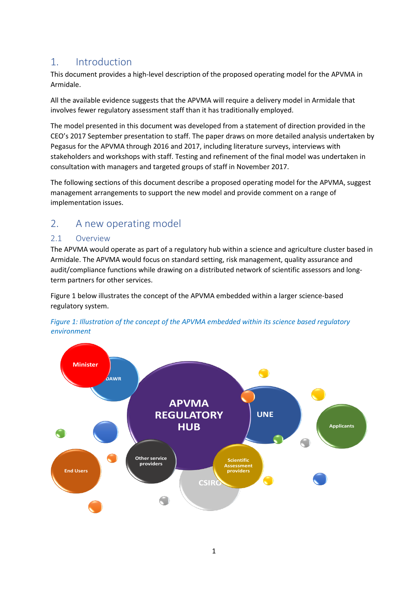# <span id="page-3-0"></span>1. Introduction

This document provides a high-level description of the proposed operating model for the APVMA in Armidale.

All the available evidence suggests that the APVMA will require a delivery model in Armidale that involves fewer regulatory assessment staff than it has traditionally employed.

The model presented in this document was developed from a statement of direction provided in the CEO's 2017 September presentation to staff. The paper draws on more detailed analysis undertaken by Pegasus for the APVMA through 2016 and 2017, including literature surveys, interviews with stakeholders and workshops with staff. Testing and refinement of the final model was undertaken in consultation with managers and targeted groups of staff in November 2017.

The following sections of this document describe a proposed operating model for the APVMA, suggest management arrangements to support the new model and provide comment on a range of implementation issues.

# <span id="page-3-1"></span>2. A new operating model

## <span id="page-3-2"></span>2.1 Overview

The APVMA would operate as part of a regulatory hub within a science and agriculture cluster based in Armidale. The APVMA would focus on standard setting, risk management, quality assurance and audit/compliance functions while drawing on a distributed network of scientific assessors and longterm partners for other services.

Figure 1 below illustrates the concept of the APVMA embedded within a larger science-based regulatory system.

<span id="page-3-3"></span>

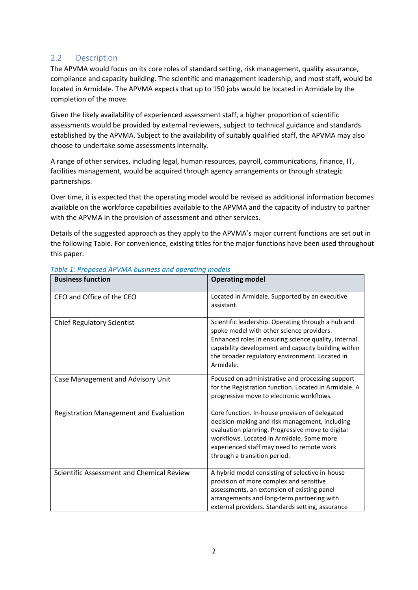### <span id="page-4-0"></span>2.2 Description

The APVMA would focus on its core roles of standard setting, risk management, quality assurance, compliance and capacity building. The scientific and management leadership, and most staff, would be located in Armidale. The APVMA expects that up to 150 jobs would be located in Armidale by the completion of the move.

Given the likely availability of experienced assessment staff, a higher proportion of scientific assessments would be provided by external reviewers, subject to technical guidance and standards established by the APVMA. Subject to the availability of suitably qualified staff, the APVMA may also choose to undertake some assessments internally.

A range of other services, including legal, human resources, payroll, communications, finance, IT, facilities management, would be acquired through agency arrangements or through strategic partnerships.

Over time, it is expected that the operating model would be revised as additional information becomes available on the workforce capabilities available to the APVMA and the capacity of industry to partner with the APVMA in the provision of assessment and other services.

Details of the suggested approach as they apply to the APVMA's major current functions are set out in the following Table. For convenience, existing titles for the major functions have been used throughout this paper.

| <b>Business function</b>                  | <b>Operating model</b>                                                                                                                                                                                                                                                         |
|-------------------------------------------|--------------------------------------------------------------------------------------------------------------------------------------------------------------------------------------------------------------------------------------------------------------------------------|
| CEO and Office of the CEO                 | Located in Armidale. Supported by an executive<br>assistant.                                                                                                                                                                                                                   |
| <b>Chief Regulatory Scientist</b>         | Scientific leadership. Operating through a hub and<br>spoke model with other science providers.<br>Enhanced roles in ensuring science quality, internal<br>capability development and capacity building within<br>the broader regulatory environment. Located in<br>Armidale.  |
| Case Management and Advisory Unit         | Focused on administrative and processing support<br>for the Registration function. Located in Armidale. A<br>progressive move to electronic workflows.                                                                                                                         |
| Registration Management and Evaluation    | Core function. In-house provision of delegated<br>decision-making and risk management, including<br>evaluation planning. Progressive move to digital<br>workflows. Located in Armidale. Some more<br>experienced staff may need to remote work<br>through a transition period. |
| Scientific Assessment and Chemical Review | A hybrid model consisting of selective in-house<br>provision of more complex and sensitive<br>assessments, an extension of existing panel<br>arrangements and long-term partnering with<br>external providers. Standards setting, assurance                                    |

#### <span id="page-4-1"></span>*Table 1: Proposed APVMA business and operating models*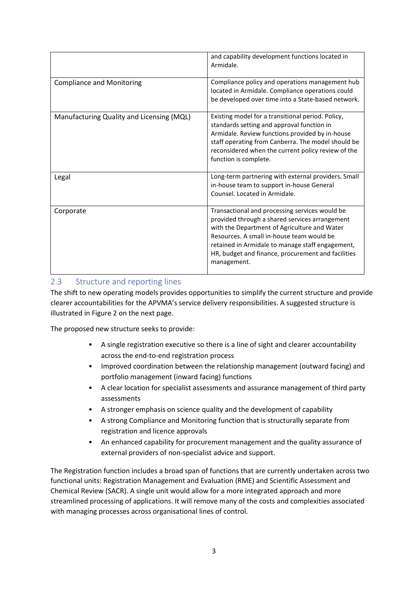|                                           | and capability development functions located in<br>Armidale.                                                                                                                                                                                                                                                           |
|-------------------------------------------|------------------------------------------------------------------------------------------------------------------------------------------------------------------------------------------------------------------------------------------------------------------------------------------------------------------------|
| <b>Compliance and Monitoring</b>          | Compliance policy and operations management hub<br>located in Armidale. Compliance operations could<br>be developed over time into a State-based network.                                                                                                                                                              |
| Manufacturing Quality and Licensing (MQL) | Existing model for a transitional period. Policy,<br>standards setting and approval function in<br>Armidale. Review functions provided by in-house<br>staff operating from Canberra. The model should be<br>reconsidered when the current policy review of the<br>function is complete.                                |
| Legal                                     | Long-term partnering with external providers. Small<br>in-house team to support in-house General<br>Counsel. Located in Armidale.                                                                                                                                                                                      |
| Corporate                                 | Transactional and processing services would be<br>provided through a shared services arrangement<br>with the Department of Agriculture and Water<br>Resources. A small in-house team would be<br>retained in Armidale to manage staff engagement,<br>HR, budget and finance, procurement and facilities<br>management. |

## <span id="page-5-0"></span>2.3 Structure and reporting lines

The shift to new operating models provides opportunities to simplify the current structure and provide clearer accountabilities for the APVMA's service delivery responsibilities. A suggested structure is illustrated in Figure 2 on the next page.

The proposed new structure seeks to provide:

- A single registration executive so there is a line of sight and clearer accountability across the end-to-end registration process
- Improved coordination between the relationship management (outward facing) and portfolio management (inward facing) functions
- A clear location for specialist assessments and assurance management of third party assessments
- A stronger emphasis on science quality and the development of capability
- A strong Compliance and Monitoring function that is structurally separate from registration and licence approvals
- An enhanced capability for procurement management and the quality assurance of external providers of non-specialist advice and support.

The Registration function includes a broad span of functions that are currently undertaken across two functional units: Registration Management and Evaluation (RME) and Scientific Assessment and Chemical Review (SACR). A single unit would allow for a more integrated approach and more streamlined processing of applications. It will remove many of the costs and complexities associated with managing processes across organisational lines of control.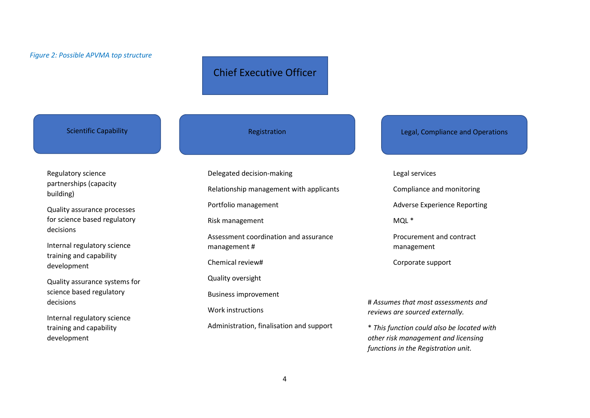# Chief Executive Officer

Regulatory science partnerships (capacity building)

Quality assurance processes for science based regulatory decisions

<span id="page-6-0"></span>Internal regulatory science training and capability development

Quality assurance systems for science based regulatory decisions

Internal regulatory science training and capability development

Delegated decision-making Relationship management with applicants Portfolio management Risk management Assessment coordination and assurance management # Chemical review# Quality oversight Business improvement Work instructions Administration, finalisation and support

Scientific Capability **Registration** Registration Legal, Compliance and Operations

#### Legal services

Compliance and monitoring

Adverse Experience Reporting

MQL \*

Procurement and contract management

Corporate support

# *Assumes that most assessments and reviews are sourced externally.*

\* *This function could also be located with other risk management and licensing functions in the Registration unit.*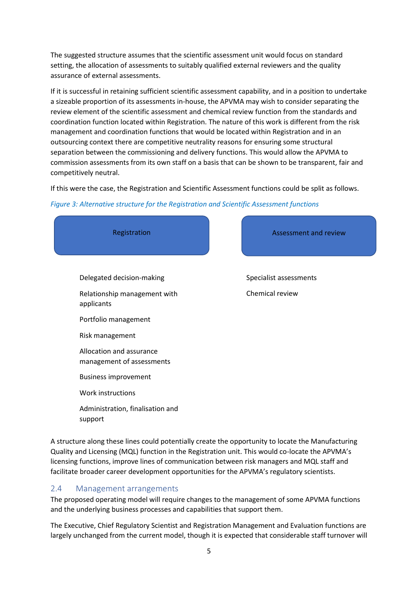The suggested structure assumes that the scientific assessment unit would focus on standard setting, the allocation of assessments to suitably qualified external reviewers and the quality assurance of external assessments.

If it is successful in retaining sufficient scientific assessment capability, and in a position to undertake a sizeable proportion of its assessments in-house, the APVMA may wish to consider separating the review element of the scientific assessment and chemical review function from the standards and coordination function located within Registration. The nature of this work is different from the risk management and coordination functions that would be located within Registration and in an outsourcing context there are competitive neutrality reasons for ensuring some structural separation between the commissioning and delivery functions. This would allow the APVMA to commission assessments from its own staff on a basis that can be shown to be transparent, fair and competitively neutral.

If this were the case, the Registration and Scientific Assessment functions could be split as follows.

#### <span id="page-7-1"></span>*Figure 3: Alternative structure for the Registration and Scientific Assessment functions*



A structure along these lines could potentially create the opportunity to locate the Manufacturing Quality and Licensing (MQL) function in the Registration unit. This would co-locate the APVMA's licensing functions, improve lines of communication between risk managers and MQL staff and facilitate broader career development opportunities for the APVMA's regulatory scientists.

#### <span id="page-7-0"></span>2.4 Management arrangements

The proposed operating model will require changes to the management of some APVMA functions and the underlying business processes and capabilities that support them.

The Executive, Chief Regulatory Scientist and Registration Management and Evaluation functions are largely unchanged from the current model, though it is expected that considerable staff turnover will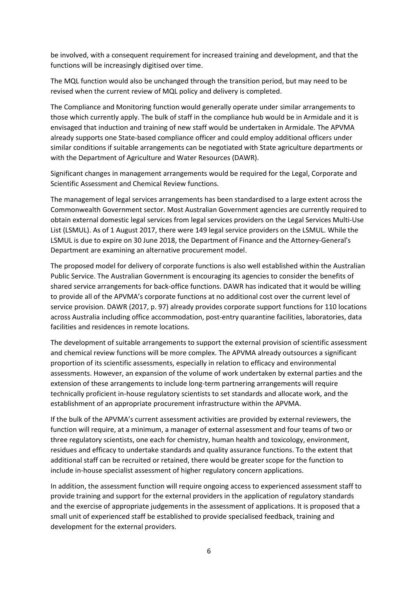be involved, with a consequent requirement for increased training and development, and that the functions will be increasingly digitised over time.

The MQL function would also be unchanged through the transition period, but may need to be revised when the current review of MQL policy and delivery is completed.

The Compliance and Monitoring function would generally operate under similar arrangements to those which currently apply. The bulk of staff in the compliance hub would be in Armidale and it is envisaged that induction and training of new staff would be undertaken in Armidale. The APVMA already supports one State-based compliance officer and could employ additional officers under similar conditions if suitable arrangements can be negotiated with State agriculture departments or with the Department of Agriculture and Water Resources (DAWR).

Significant changes in management arrangements would be required for the Legal, Corporate and Scientific Assessment and Chemical Review functions.

The management of legal services arrangements has been standardised to a large extent across the Commonwealth Government sector. Most Australian Government agencies are currently required to obtain external domestic legal services from legal services providers on the Legal Services Multi-Use List (LSMUL). As of 1 August 2017, there were 149 legal service providers on the LSMUL. While the LSMUL is due to expire on 30 June 2018, the Department of Finance and the Attorney-General's Department are examining an alternative procurement model.

The proposed model for delivery of corporate functions is also well established within the Australian Public Service. The Australian Government is encouraging its agencies to consider the benefits of shared service arrangements for back-office functions. DAWR has indicated that it would be willing to provide all of the APVMA's corporate functions at no additional cost over the current level of service provision. DAWR (2017, p. 97) already provides corporate support functions for 110 locations across Australia including office accommodation, post-entry quarantine facilities, laboratories, data facilities and residences in remote locations.

The development of suitable arrangements to support the external provision of scientific assessment and chemical review functions will be more complex. The APVMA already outsources a significant proportion of its scientific assessments, especially in relation to efficacy and environmental assessments. However, an expansion of the volume of work undertaken by external parties and the extension of these arrangements to include long-term partnering arrangements will require technically proficient in-house regulatory scientists to set standards and allocate work, and the establishment of an appropriate procurement infrastructure within the APVMA.

If the bulk of the APVMA's current assessment activities are provided by external reviewers, the function will require, at a minimum, a manager of external assessment and four teams of two or three regulatory scientists, one each for chemistry, human health and toxicology, environment, residues and efficacy to undertake standards and quality assurance functions. To the extent that additional staff can be recruited or retained, there would be greater scope for the function to include in-house specialist assessment of higher regulatory concern applications.

In addition, the assessment function will require ongoing access to experienced assessment staff to provide training and support for the external providers in the application of regulatory standards and the exercise of appropriate judgements in the assessment of applications. It is proposed that a small unit of experienced staff be established to provide specialised feedback, training and development for the external providers.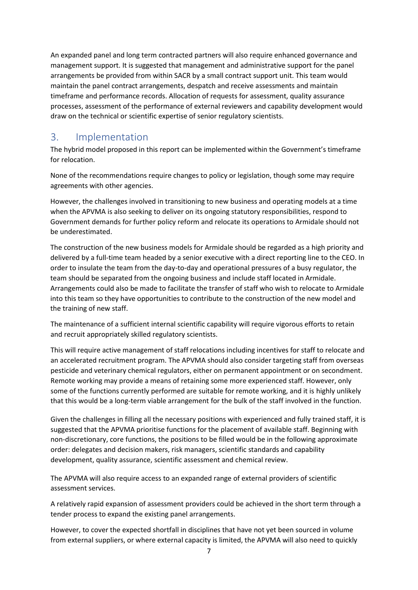An expanded panel and long term contracted partners will also require enhanced governance and management support. It is suggested that management and administrative support for the panel arrangements be provided from within SACR by a small contract support unit. This team would maintain the panel contract arrangements, despatch and receive assessments and maintain timeframe and performance records. Allocation of requests for assessment, quality assurance processes, assessment of the performance of external reviewers and capability development would draw on the technical or scientific expertise of senior regulatory scientists.

# <span id="page-9-0"></span>3. Implementation

The hybrid model proposed in this report can be implemented within the Government's timeframe for relocation.

None of the recommendations require changes to policy or legislation, though some may require agreements with other agencies.

However, the challenges involved in transitioning to new business and operating models at a time when the APVMA is also seeking to deliver on its ongoing statutory responsibilities, respond to Government demands for further policy reform and relocate its operations to Armidale should not be underestimated.

The construction of the new business models for Armidale should be regarded as a high priority and delivered by a full-time team headed by a senior executive with a direct reporting line to the CEO. In order to insulate the team from the day-to-day and operational pressures of a busy regulator, the team should be separated from the ongoing business and include staff located in Armidale. Arrangements could also be made to facilitate the transfer of staff who wish to relocate to Armidale into this team so they have opportunities to contribute to the construction of the new model and the training of new staff.

The maintenance of a sufficient internal scientific capability will require vigorous efforts to retain and recruit appropriately skilled regulatory scientists.

This will require active management of staff relocations including incentives for staff to relocate and an accelerated recruitment program. The APVMA should also consider targeting staff from overseas pesticide and veterinary chemical regulators, either on permanent appointment or on secondment. Remote working may provide a means of retaining some more experienced staff. However, only some of the functions currently performed are suitable for remote working, and it is highly unlikely that this would be a long-term viable arrangement for the bulk of the staff involved in the function.

Given the challenges in filling all the necessary positions with experienced and fully trained staff, it is suggested that the APVMA prioritise functions for the placement of available staff. Beginning with non-discretionary, core functions, the positions to be filled would be in the following approximate order: delegates and decision makers, risk managers, scientific standards and capability development, quality assurance, scientific assessment and chemical review.

The APVMA will also require access to an expanded range of external providers of scientific assessment services.

A relatively rapid expansion of assessment providers could be achieved in the short term through a tender process to expand the existing panel arrangements.

However, to cover the expected shortfall in disciplines that have not yet been sourced in volume from external suppliers, or where external capacity is limited, the APVMA will also need to quickly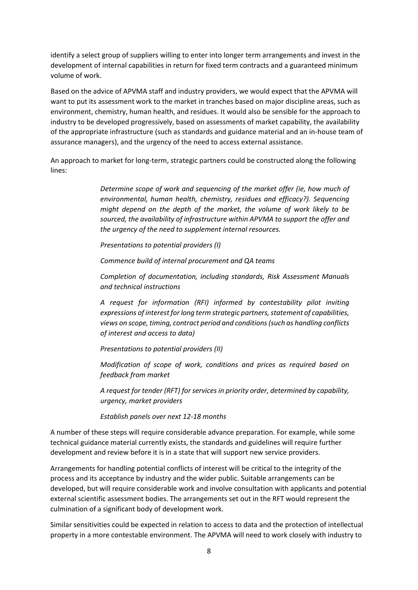identify a select group of suppliers willing to enter into longer term arrangements and invest in the development of internal capabilities in return for fixed term contracts and a guaranteed minimum volume of work.

Based on the advice of APVMA staff and industry providers, we would expect that the APVMA will want to put its assessment work to the market in tranches based on major discipline areas, such as environment, chemistry, human health, and residues. It would also be sensible for the approach to industry to be developed progressively, based on assessments of market capability, the availability of the appropriate infrastructure (such as standards and guidance material and an in-house team of assurance managers), and the urgency of the need to access external assistance.

An approach to market for long-term, strategic partners could be constructed along the following lines:

> *Determine scope of work and sequencing of the market offer (ie, how much of environmental, human health, chemistry, residues and efficacy?). Sequencing might depend on the depth of the market, the volume of work likely to be sourced, the availability of infrastructure within APVMA to support the offer and the urgency of the need to supplement internal resources.*

*Presentations to potential providers (I)*

*Commence build of internal procurement and QA teams*

*Completion of documentation, including standards, Risk Assessment Manuals and technical instructions*

*A request for information (RFI) informed by contestability pilot inviting expressions of interest for long term strategic partners, statement of capabilities, views on scope, timing, contract period and conditions (such as handling conflicts of interest and access to data)*

*Presentations to potential providers (II)*

*Modification of scope of work, conditions and prices as required based on feedback from market*

*A request for tender (RFT) for services in priority order, determined by capability, urgency, market providers*

*Establish panels over next 12-18 months*

A number of these steps will require considerable advance preparation. For example, while some technical guidance material currently exists, the standards and guidelines will require further development and review before it is in a state that will support new service providers.

Arrangements for handling potential conflicts of interest will be critical to the integrity of the process and its acceptance by industry and the wider public. Suitable arrangements can be developed, but will require considerable work and involve consultation with applicants and potential external scientific assessment bodies. The arrangements set out in the RFT would represent the culmination of a significant body of development work.

Similar sensitivities could be expected in relation to access to data and the protection of intellectual property in a more contestable environment. The APVMA will need to work closely with industry to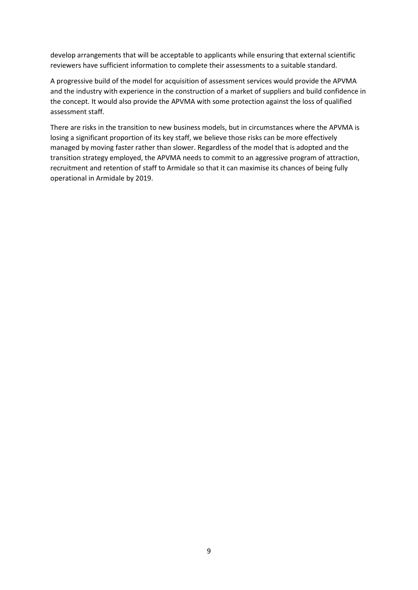develop arrangements that will be acceptable to applicants while ensuring that external scientific reviewers have sufficient information to complete their assessments to a suitable standard.

A progressive build of the model for acquisition of assessment services would provide the APVMA and the industry with experience in the construction of a market of suppliers and build confidence in the concept. It would also provide the APVMA with some protection against the loss of qualified assessment staff.

There are risks in the transition to new business models, but in circumstances where the APVMA is losing a significant proportion of its key staff, we believe those risks can be more effectively managed by moving faster rather than slower. Regardless of the model that is adopted and the transition strategy employed, the APVMA needs to commit to an aggressive program of attraction, recruitment and retention of staff to Armidale so that it can maximise its chances of being fully operational in Armidale by 2019.